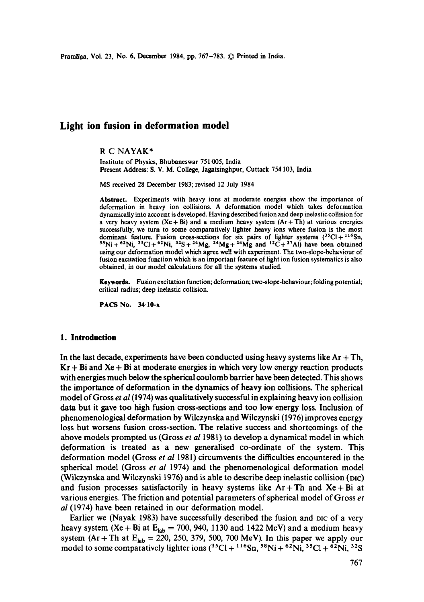Pramāna, Vol. 23, No. 6, December 1984, pp. 767-783. © Printed in India.

# **Light ion fusion in deformation model**

### R C NAYAK\*

Institute of Physics, Bhubaneswar 751 005, India **Present** Address: S. V. M. College, Jagatsinghpur, Cuttack 754 103, India

MS received 28 December 1983; revised 12 July 1984

Abstract. Experiments with heavy ions at moderate energies show the importance of deformation in heavy ion collisions. A deformation model which takes deformation dynamically into account is developed. Having described fusion and deep inelastic collision for a very heavy system  $(Xe + Bi)$  and a medium heavy system  $(Ar + Th)$  at various energies successfully, we turn to some comparatively lighter heavy ions where fusion is the most dominant feature. Fusion cross-sections for six pairs of lighter systems  $(3^3Cl + 1^{16}Sn,$ <sup>58</sup>Ni + <sup>62</sup>Ni, <sup>35</sup>Cl + <sup>62</sup>Ni, <sup>32</sup>S + <sup>24</sup>Mg, <sup>24</sup>Mg + <sup>24</sup>Mg and <sup>12</sup>C + <sup>27</sup>Al) have been obtained using our deformation model which agree well with experiment. The two-slope-behaviour of fusion excitation function which is an important feature of light ion fusion systematics is also obtained, in our model calculations for all the systems studied.

**Keywords.** Fusion excitation function; deformation; two-slope-behaviour; folding potential; critical radius; deep inelastic collision.

PACS No. 34.10-x

### **1. Introduction**

In the last decade, experiments have been conducted using heavy systems like  $Ar + Th$ ,  $Kr + Bi$  and  $Xe + Bi$  at moderate energies in which very low energy reaction products with energies much below the spherical coulomb barrier have been detected. This shows the importance of deformation in the dynamics of heavy ion collisions. The spherical model of Gross *et al* (1974) was qualitatively successful in explaining heavy ion collision data but it gave too high fusion cross-sections and too low energy loss. Inclusion of phenomenological deformation by Wilczynska and Wilczynski (1976) improves energy loss but worsens fusion cross-section. The relative success and shortcomings of the above models prompted us (Gross *et al* 1981) to develop a dynamical model in which deformation is treated as a new generalised co-ordinate of the system. This deformation model (Gross *et al* 1981) circumvents the difficulties encountered in the spherical model (Gross *et al* 1974) and the phenomenological deformation model (Wilczynska and Wilczynski 1976) and is able to describe deep inelastic collision (mc) and fusion processes satisfactorily in heavy systems like  $Ar + Th$  and  $Xe + Bi$  at various energies. The friction and potential parameters of spherical model of Gross *et al* (1974) have been retained in our deformation model.

Earlier we (Nayak 1983) have successfully described the fusion and DIC of a very heavy system (Xe + Bi at  $E_{lab} = 700$ , 940, 1130 and 1422 MeV) and a medium heavy system (Ar + Th at  $E_{lab} = 220$ , 250, 379, 500, 700 MeV). In this paper we apply our model to some comparatively lighter ions  $(^{35}Cl + {^{116}Sn}$ ,  $^{58}Ni + {^{62}Ni}$ ,  $^{35}Cl + {^{62}Ni}$ ,  $^{32}S$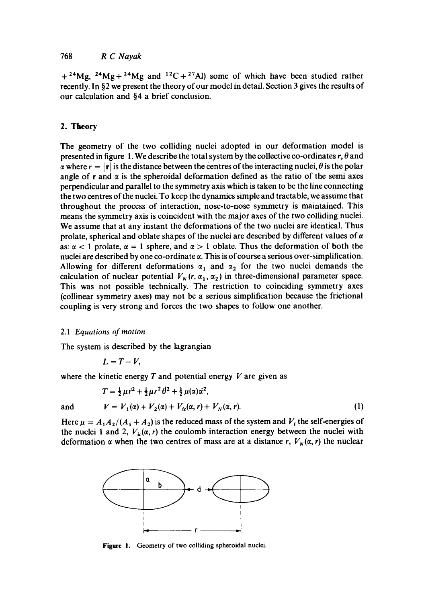$+$  <sup>24</sup>Mg, <sup>24</sup>Mg + <sup>24</sup>Mg and <sup>12</sup>C + <sup>27</sup>Al) some of which have been studied rather recently. In §2 we present the theory of our model in detail. Section 3 gives the results of our calculation and §4 a brief conclusion.

### 2. **Theory**

The geometry of the two colliding nuclei adopted in our deformation model is presented in figure 1. We describe the total system by the collective co-ordinates  $r, \theta$  and  $\alpha$  where  $r = |\mathbf{r}|$  is the distance between the centres of the interacting nuclei,  $\theta$  is the polar angle of r and  $\alpha$  is the spheroidal deformation defined as the ratio of the semi axes perpendicular and parallel to the symmetry axis which is taken to be the line connecting the two centres of the nuclei. To keep the dynamics simple and tractable, we assume that throughout the process of interaction, nose-to-nose symmetry is maintained. This means the symmetry axis is coincident with the major axes of the two colliding nuclei. We assume that at any instant the deformations of the two nuclei are identical. Thus prolate, spherical and oblate shapes of the nuclei are described by different values of  $\alpha$ as:  $\alpha < 1$  prolate,  $\alpha = 1$  sphere, and  $\alpha > 1$  oblate. Thus the deformation of both the nuclei are described by one co-ordinate  $\alpha$ . This is of course a serious over-simplification. Allowing for different deformations  $\alpha_1$  and  $\alpha_2$  for the two nuclei demands the calculation of nuclear potential  $V_N(r, \alpha_1, \alpha_2)$  in three-dimensional parameter space. This was not possible technically. The restriction to coinciding symmetry axes (collinear symmetry axes) may not be a serious simplification because the frictional coupling is very strong and forces the two shapes to follow one another.

### 2.1 *Equations of motion*

The system is described by the lagrangian

$$
L=T-V,
$$

where the kinetic energy  $T$  and potential energy  $V$  are given as

$$
T = \frac{1}{2}\mu r^2 + \frac{1}{2}\mu r^2 \theta^2 + \frac{1}{2}\mu(\alpha)\dot{\alpha}^2,
$$
  
and 
$$
V = V_1(\alpha) + V_2(\alpha) + V_{1c}(\alpha, r) + V_N(\alpha, r).
$$
 (1)

Here  $\mu = A_1 A_2/(A_1 + A_2)$  is the reduced mass of the system and  $V_i$  the self-energies of the nuclei 1 and 2,  $V_i(\alpha, r)$  the coulomb interaction energy between the nuclei with deformation  $\alpha$  when the two centres of mass are at a distance r,  $V_N(\alpha, r)$  the nuclear



**Figure** I. Geometry of two colliding spheroidal nuclei.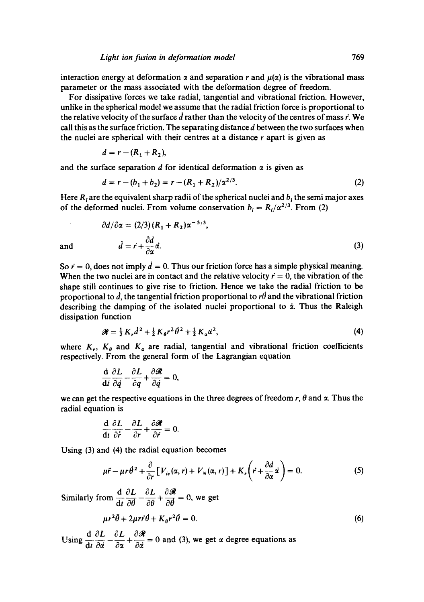interaction energy at deformation  $\alpha$  and separation r and  $\mu(\alpha)$  is the vibrational mass parameter or the mass associated with the deformation degree of freedom.

For dissipative forces we take radial, tangential and vibrational friction. However, unlike in the spherical model we assume that the radial friction force is proportional to the relative velocity of the surface d rather than the velocity of the centres of mass  $\vec{r}$ . We call this as the surface friction. The separating distance  $d$  between the two surfaces when the nuclei are spherical with their centres at a distance  $r$  apart is given as

$$
d=r-(R_1+R_2),
$$

and the surface separation d for identical deformation  $\alpha$  is given as

$$
d = r - (b_1 + b_2) = r - (R_1 + R_2)/\alpha^{2/3}.
$$
 (2)

Here  $R_i$  are the equivalent sharp radii of the spherical nuclei and  $b_i$  the semi major axes of the deformed nuclei. From volume conservation  $b_i = R_i/\alpha^{2/3}$ . From (2)

$$
\partial d/\partial \alpha = (2/3) (R_1 + R_2) \alpha^{-5/3},
$$
  
and 
$$
\dot{d} = \dot{r} + \frac{\partial d}{\partial \alpha} \dot{\alpha}.
$$
 (3)

So  $\dot{r} = 0$ , does not imply  $\dot{d} = 0$ . Thus our friction force has a simple physical meaning. When the two nuclei are in contact and the relative velocity  $\ddot{r}=0$ , the vibration of the shape still continues to give rise to friction. Hence we take the radial friction to be proportional to  $\vec{d}$ , the tangential friction proportional to  $r\vec{\theta}$  and the vibrational friction describing the damping of the isolated nuclei proportional to  $\dot{\alpha}$ . Thus the Raleigh dissipation function

$$
\mathcal{R} = \frac{1}{2} K_r \dot{d}^2 + \frac{1}{2} K_{\theta} r^2 \dot{\theta}^2 + \frac{1}{2} K_{\alpha} \dot{\alpha}^2, \tag{4}
$$

where  $K_r$ ,  $K_\theta$  and  $K_\alpha$  are radial, tangential and vibrational friction coefficients respectively. From the general form of the Lagrangian equation

$$
\frac{\mathrm{d}}{\mathrm{d}t}\frac{\partial L}{\partial \dot{q}} - \frac{\partial L}{\partial q} + \frac{\partial \mathscr{R}}{\partial \dot{q}} = 0,
$$

we can get the respective equations in the three degrees of freedom r,  $\theta$  and  $\alpha$ . Thus the radial equation is

$$
\frac{\mathrm{d}}{\mathrm{d}t}\frac{\partial L}{\partial \dot{r}} - \frac{\partial L}{\partial r} + \frac{\partial \mathscr{R}}{\partial \dot{r}} = 0.
$$

Using (3) and (4) the radial equation becomes

$$
\mu \ddot{r} - \mu r \dot{\theta}^2 + \frac{\partial}{\partial r} \left[ V_{ic}(\alpha, r) + V_N(\alpha, r) \right] + K_r \left( \dot{r} + \frac{\partial d}{\partial \alpha} \dot{\alpha} \right) = 0. \tag{5}
$$

*d dL dL t~l*  Similarly from  $\frac{1}{\sqrt{d}}$   $\frac{1}{\sqrt{d}}$   $\frac{1}{\sqrt{d}}$   $\frac{1}{\sqrt{d}}$   $\frac{1}{\sqrt{d}}$   $\frac{1}{\sqrt{d}}$   $\frac{1}{\sqrt{d}}$   $\frac{1}{\sqrt{d}}$   $\frac{1}{\sqrt{d}}$   $\frac{1}{\sqrt{d}}$   $\frac{1}{\sqrt{d}}$   $\frac{1}{\sqrt{d}}$   $\frac{1}{\sqrt{d}}$   $\frac{1}{\sqrt{d}}$   $\frac{1}{\sqrt{d}}$   $\frac{1}{\sqrt{d}}$ 

$$
\mu r^2 \ddot{\theta} + 2\mu r \dot{r} \dot{\theta} + K_{\theta} r^2 \dot{\theta} = 0. \tag{6}
$$

Using  $\frac{d}{dt} \frac{\partial L}{\partial t} - \frac{\partial L}{\partial t} + \frac{\partial \mathcal{R}}{\partial t} = 0$  and (3), we get  $\alpha$  degree equations as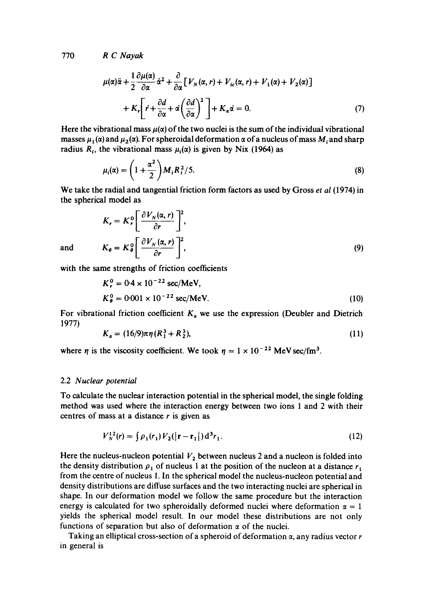$$
\mu(\alpha)\ddot{\alpha} + \frac{1}{2}\frac{\partial\mu(\alpha)}{\partial\alpha}\dot{\alpha}^2 + \frac{\partial}{\partial\alpha}\Big[V_N(\alpha, r) + V_{ic}(\alpha, r) + V_1(\alpha) + V_2(\alpha)\Big] + K_c\Big[\dot{r} + \frac{\partial d}{\partial\alpha} + \dot{\alpha}\left(\frac{\partial d}{\partial\alpha}\right)^2\Big] + K_{\alpha}\dot{\alpha} = 0.
$$
 (7)

Here the vibrational mass  $\mu(\alpha)$  of the two nuclei is the sum of the individual vibrational masses  $\mu_1(\alpha)$  and  $\mu_2(\alpha)$ . For spheroidal deformation  $\alpha$  of a nucleus of mass M<sub>i</sub> and sharp radius  $R_i$ , the vibrational mass  $\mu_i(\alpha)$  is given by Nix (1964) as

$$
\mu_i(\alpha) = \left(1 + \frac{\alpha^2}{2}\right) M_i R_i^2 / 5. \tag{8}
$$

We take the radial and tangential friction form factors as used by Gross *et al* (1974) in the spherical model as

$$
K_r = K_r^0 \left[ \frac{\partial V_N(\alpha, r)}{\partial r} \right]^2,
$$
  
and 
$$
K_\theta = K_\theta^0 \left[ \frac{\partial V_N(\alpha, r)}{\partial r} \right]^2,
$$
 (9)

with the same strengths of friction coefficients

$$
K_{r}^{0} = 0.4 \times 10^{-22} \text{ sec/MeV},
$$
  
\n
$$
K_{\theta}^{0} = 0.001 \times 10^{-22} \text{ sec/MeV}.
$$
 (10)

For vibrational friction coefficient  $K_a$  we use the expression (Deubler and Dietrich 1977)

$$
K_{\alpha} = (16/9)\pi\eta (R_1^3 + R_2^3),\tag{11}
$$

where  $\eta$  is the viscosity coefficient. We took  $\eta = 1 \times 10^{-22}$  MeV sec/fm<sup>3</sup>.

#### 2.2 *Nuclear potential*

To calculate the nuclear interaction potential in the spherical model, the single folding method was used where the interaction energy between two ions 1 and 2 with their centres of mass at a distance  $r$  is given as

$$
V_N^{12}(r) = \int \rho_1(r_1) V_2(|\mathbf{r} - \mathbf{r}_1|) d^3 r_1.
$$
 (12)

Here the nucleus-nucleon potential  $V_2$  between nucleus 2 and a nucleon is folded into the density distribution  $\rho_1$  of nucleus 1 at the position of the nucleon at a distance  $r_1$ from the centre of nucleus 1. In the spherical model the nucleus-nucleon potential and density distributions are diffuse surfaces and the two interacting nuclei are spherical in shape. In our deformation model we follow the same procedure but the interaction energy is calculated for two spheroidally deformed nuclei where deformation  $\alpha = 1$ yields the spherical model result. In our model these distributions are not only functions of separation but also of deformation  $\alpha$  of the nuclei.

Taking an elliptical cross-section of a spheroid of deformation  $\alpha$ , any radius vector r in general is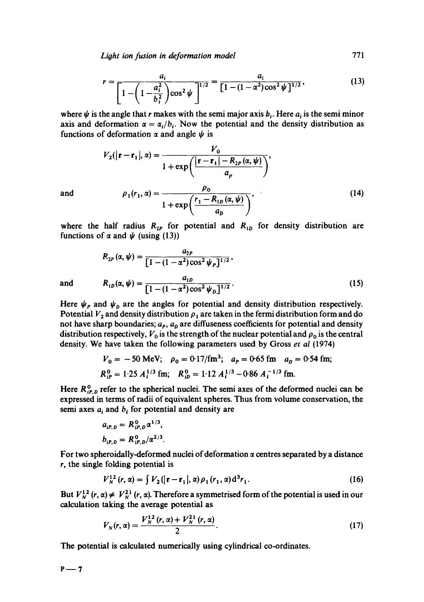*Lioht ion fusion in deformation model* 771

$$
r = \frac{a_i}{\left[1 - \left(1 - \frac{a_i^2}{b_i^2}\right) \cos^2 \psi\right]^{1/2}} = \frac{a_i}{\left[1 - (1 - \alpha^2) \cos^2 \psi\right]^{1/2}},
$$
(13)

where  $\psi$  is the angle that r makes with the semi major axis  $b_i$ . Here  $a_i$  is the semi minor axis and deformation  $\alpha = \alpha_i/b_i$ . Now the potential and the density distribution as functions of deformation  $\alpha$  and angle  $\psi$  is

$$
V_2(|\mathbf{r} - \mathbf{r}_1|, \alpha) = \frac{V_0}{1 + \exp\left(\frac{|\mathbf{r} - \mathbf{r}_1| - R_{2P}(\alpha, \psi)}{a_p}\right)},
$$

and  $\rho_1 (r_1, \alpha) = \frac{P_0}{1 + \exp \left( \frac{r_1 - R_{1D}(\alpha, \psi)}{1 + \exp \left( \frac{r_1 - r_2(\alpha, \psi)}{1 + \exp \left( \frac{r_1}{r_1 - r_2(\alpha, \psi)}{1 + \exp \left( \frac{r_1}{r_1 - r_2(\alpha, \psi)}{1 + \exp \left( \frac{r_1}{r_1 - r_2(\alpha, \psi)}{1 + \exp \left( \frac{r_1}{r_1 - r_2(\alpha, \psi)}{1 + \exp \left( \frac{r_1}{r_1 - r_2(\alpha, \psi)}{1 + \exp \left$ 

where the half radius  $R_{2p}$  for potential and  $R_{1p}$  for density distribution are functions of  $\alpha$  and  $\psi$  (using (13))

$$
R_{2P}(\alpha, \psi) = \frac{a_{2P}}{[1 - (1 - \alpha^2)\cos^2 \psi_P]^{1/2}},
$$
  
and 
$$
R_{1D}(\alpha, \psi) = \frac{a_{1D}}{[1 - (1 - \alpha^2)\cos^2 \psi_D]^{1/2}}.
$$
 (15)

Here  $\psi_p$  and  $\psi_p$  are the angles for potential and density distribution respectively. Potential  $V_2$  and density distribution  $\rho_1$  are taken in the fermi distribution form and do not have sharp boundaries;  $a_p$ ,  $a_p$  are diffuseness coefficients for potential and density distribution respectively,  $V_0$  is the strength of the nuclear potential and  $\rho_0$  is the central density. We have taken the following parameters used by Gross *et al* (1974)

$$
V_0 = -50
$$
 MeV;  $\rho_0 = 0.17$ /fm<sup>3</sup>;  $a_P = 0.65$  fm  $a_D = 0.54$  fm;  
\n $R_{IP}^0 = 1.25 A_l^{1/3}$  fm;  $R_{IP}^0 = 1.12 A_l^{1/3} - 0.86 A_l^{-1/3}$  fm.

Here  $R_{iP,D}^0$  refer to the spherical nuclei. The semi axes of the deformed nuclei can be expressed in terms of radii of equivalent spheres. Thus from volume conservation, the semi axes  $a_i$  and  $b_i$  for potential and density are

$$
a_{iP,D} = R_{iP,D}^{0} \alpha^{1/3},
$$
  
\n
$$
b_{iP,D} = R_{iP,D}^{0} / \alpha^{2/3}.
$$

For two spheroidally-deformed nuclei of deformation  $\alpha$  centres separated by a distance r, the single folding potential is

$$
V_N^{12}(r,\alpha) = \int V_2(|\mathbf{r} - \mathbf{r}_1|, \alpha) \rho_1(r_1, \alpha) d^3 r_1.
$$
 (16)

But  $V_N^{12}(r, \alpha) \neq V_N^{21}(r, \alpha)$ . Therefore a symmetrised form of the potential is used in our calculation taking the average potential as

$$
V_N(r,\alpha) = \frac{V_N^{12}(r,\alpha) + V_N^{21}(r,\alpha)}{2}.
$$
 (17)

The potential is calculated numerically using cylindrical co-ordinates.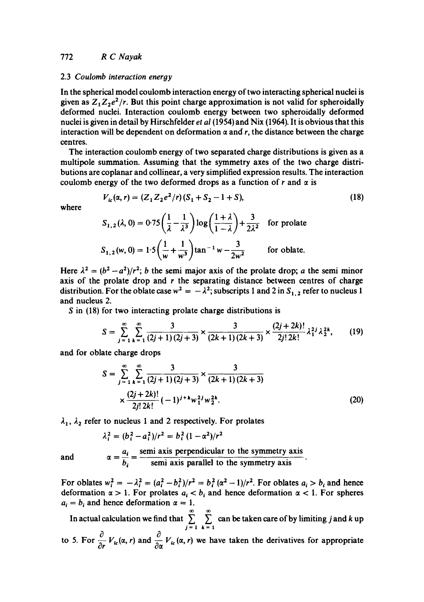#### 2.3 *Coulomb interaction eneroy*

In the spherical model coulomb interaction energy of two interacting spherical nuclei is given as  $Z_1 Z_2 e^2/r$ . But this point charge approximation is not valid for spheroidally deformed nuclei. Interaction coulomb energy between two spberoidally deformed nuclei is given in detail by Hirschfeider *et al* (1954) and Nix (1964). It is obvious that this interaction will be dependent on deformation  $\alpha$  and r, the distance between the charge centres.

The interaction coulomb energy of two separated charge distributions is given as a multipol¢ summation. Assuming that the symmetry axes of the two charge distributions are coplanar and collinear, a very simplified expression results. The interaction coulomb energy of the two deformed drops as a function of r and  $\alpha$  is

$$
V_{ic}(\alpha, r) = (Z_1 Z_2 e^2/r)(S_1 + S_2 - 1 + S),
$$
\n(18)

where

$$
S_{1,2}(\lambda, 0) = 0.75 \left( \frac{1}{\lambda} - \frac{1}{\lambda^3} \right) \log \left( \frac{1 + \lambda}{1 - \lambda} \right) + \frac{3}{2\lambda^2}
$$
 for prolate  

$$
S_{1,2}(w, 0) = 1.5 \left( \frac{1}{w} + \frac{1}{w^3} \right) \tan^{-1} w - \frac{3}{2w^2}
$$
 for oblate.

Here  $\lambda^2 = (b^2 - a^2)/r^2$ ; *b* the semi major axis of the prolate drop; *a* the semi minor axis of the prolate drop and  $r$  the separating distance between centres of charge distribution. For the oblate case  $w^2 = -\lambda^2$ ; subscripts 1 and 2 in  $S_{1,2}$  refer to nucleus 1 and nucleus 2.

S in (18) for two interacting prolate charge distributions is

$$
S = \sum_{j=1}^{\infty} \sum_{k=1}^{\infty} \frac{3}{(2j+1)(2j+3)} \times \frac{3}{(2k+1)(2k+3)} \times \frac{(2j+2k)!}{2j! \, 2k!} \lambda_1^{2j} \lambda_2^{2k},\qquad(19)
$$

and for oblate charge drops

$$
S = \sum_{j=1}^{\infty} \sum_{k=1}^{\infty} \frac{3}{(2j+1)(2j+3)} \times \frac{3}{(2k+1)(2k+3)}
$$
  
 
$$
\times \frac{(2j+2k)!}{2j! 2k!} (-1)^{j+k} w_1^{2j} w_2^{2k}.
$$
 (20)

 $\lambda_1$ ,  $\lambda_2$  refer to nucleus 1 and 2 respectively. For prolates

$$
\lambda_i^2 = (b_i^2 - a_i^2)/r^2 = b_i^2 (1 - \alpha^2)/r^2
$$

and

$$
\alpha = \frac{a_i}{b_i} = \frac{\text{semi axis perpendicular to the symmetry axis}}{\text{semi axis parallel to the symmetry axis}}
$$

For oblates  $w_i^2 = -\lambda_i^2 = (a_i^2 - b_i^2)/r^2 = b_i^2 (\alpha^2 - 1)/r^2$ . For oblates  $a_i > b_i$  and hence deformation  $\alpha > 1$ . For prolates  $a_i < b_i$  and hence deformation  $\alpha < 1$ . For spheres  $a_i = b_i$  and hence deformation  $\alpha = 1$ .

In actual calculation we find that  $\sum_{n=1}^{\infty}$  can be taken care of by limiting j and k up j=l k=l to 5. For  $\frac{\partial}{\partial r}V_{ic}(\alpha, r)$  and  $\frac{\partial}{\partial \alpha}V_{ic}(\alpha, r)$  we have taken the derivatives for appropriate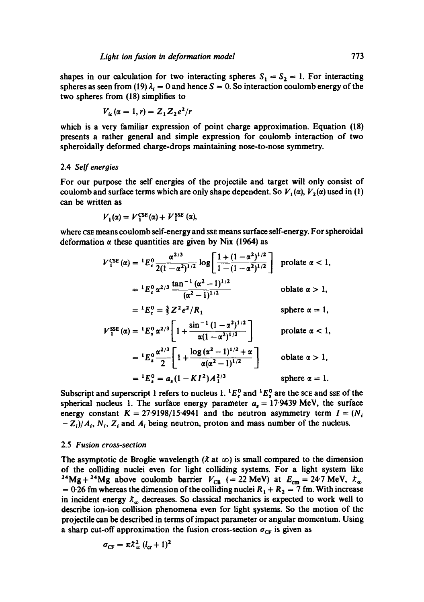shapes in our calculation for two interacting spheres  $S_1 = S_2 = 1$ . For interacting spheres as seen from (19)  $\lambda_i = 0$  and hence  $S = 0$ . So interaction coulomb energy of the two spheres from (18) simplifies to

$$
V_{ic}(\alpha=1,r)=Z_1Z_2e^2/r
$$

which is a very familiar expression of point charge approximation. Equation (18) presents a rather general and simple expression for coulomb interaction of two spheroidally deformed charge-drops maintaining nose-to-nose symmetry.

### 2.4 *Self energies*

For our purpose the self energies of the projectile and target will only consist of coulomb and surface terms which are only shape dependent. So  $V_1(\alpha)$ ,  $V_2(\alpha)$  used in (1) can be written as

$$
V_1(\alpha) = V_1^{\text{CSE}}(\alpha) + V_1^{\text{SSE}}(\alpha),
$$

where CSE means coulomb self-energy and ssE means surface self-energy. For spheroidal deformation  $\alpha$  these quantities are given by Nix (1964) as

$$
V_1^{\text{CE}}(\alpha) = {}^{1}E_c^0 \frac{\alpha^{2/3}}{2(1-\alpha^2)^{1/2}} \log \left[ \frac{1+(1-\alpha^2)^{1/2}}{1-(1-\alpha^2)^{1/2}} \right] \text{ prolate } \alpha < 1,
$$
  
\n
$$
= {}^{1}E_c^0 \alpha^{2/3} \frac{\tan^{-1}(\alpha^2-1)^{1/2}}{(\alpha^2-1)^{1/2}} \text{ oblate } \alpha > 1,
$$
  
\n
$$
= {}^{1}E_c^0 = \frac{3}{3} Z^2 e^2 / R_1 \text{ sphere } \alpha = 1,
$$
  
\n
$$
V_1^{\text{SSE}}(\alpha) = {}^{1}E_s^0 \alpha^{2/3} \left[ 1 + \frac{\sin^{-1}(1-\alpha^2)^{1/2}}{\alpha(1-\alpha^2)^{1/2}} \right] \text{ prolate } \alpha < 1,
$$
  
\n
$$
= {}^{1}E_s^0 \frac{\alpha^{2/3}}{2} \left[ 1 + \frac{\log(\alpha^2-1)^{1/2} + \alpha}{\alpha(\alpha^2-1)^{1/2}} \right] \text{ oblate } \alpha > 1,
$$
  
\n
$$
= {}^{1}E_s^0 = a_s (1 - K I^2) A_1^{2/3} \text{ sphere } \alpha = 1.
$$

Subscript and superscript 1 refers to nucleus 1.  $^{1}E_{c}^{0}$  and  $^{1}E_{s}^{0}$  are the sce and sse of the spherical nucleus 1. The surface energy parameter  $a_s = 17.9439$  MeV, the surface energy constant  $K = 27.9198/15.4941$  and the neutron asymmetry term  $I = (N<sub>i</sub>)$  $-Z_i/A_i$ ,  $N_i$ ,  $Z_i$  and  $A_i$  being neutron, proton and mass number of the nucleus.

#### 2.5 *Fusion cross-section*

The asymptotic de Broglie wavelength  $(\lambda \text{ at } \infty)$  is small compared to the dimension of the colliding nuclei even for light colliding systems. For a light system like <sup>24</sup>Mg + <sup>24</sup>Mg above coulomb barrier  $V_{CB}$  (= 22 MeV) at  $E_{cm} = 24.7$  MeV,  $\lambda_{\infty}$ = 0.26 fm whereas the dimension of the colliding nuclei  $R_1 + R_2 = 7$  fm. With increase in incident energy  $\lambda_{\alpha}$  decreases. So classical mechanics is expected to work well to describe ion-ion collision phenomena even for light systems. So the motion of the projectile can be described in terms of impact parameter or angular momentum. Using a sharp cut-off approximation the fusion cross-section  $\sigma_{CF}$  is given as

$$
\sigma_{\rm CF} = \pi \lambda_{\infty}^2 (l_{\rm cr} + 1)^2
$$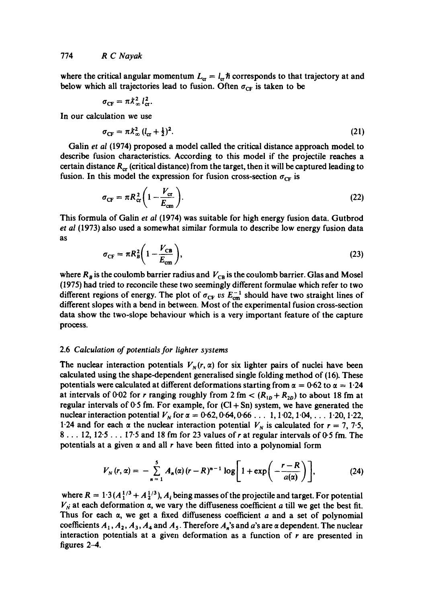where the critical angular momentum  $L_{cr} = l_{cr} \hbar$  corresponds to that trajectory at and below which all trajectories lead to fusion. Often  $\sigma_{CF}$  is taken to be

$$
\sigma_{\rm CF} = \pi \lambda_{\infty}^2 l_{\rm cr}^2.
$$

In our calculation we use

$$
\sigma_{\rm CF} = \pi \lambda_{\infty}^2 \left( l_{\rm cr} + \frac{1}{2} \right)^2. \tag{21}
$$

Galin *et al* (1974) proposed a model called the critical distance approach model to describe fusion charactoristics. According to this model if the projectile reaches a certain distance  $R_{cr}$  (critical distance) from the target, then it will be captured leading to fusion. In this model the expression for fusion cross-section  $\sigma_{CF}$  is

$$
\sigma_{\rm CF} = \pi R_{\rm cr}^2 \left( 1 - \frac{V_{\rm cr}}{E_{\rm cm}} \right). \tag{22}
$$

This formula of Galin *et al* (1974) was suitable for high energy fusion data. Gutbrod *et al* (1973) also used a somewhat similar formula to describe low energy fusion data as

$$
\sigma_{\rm CF} = \pi R_B^2 \bigg( 1 - \frac{V_{\rm CB}}{E_{\rm cm}} \bigg),\tag{23}
$$

where  $R_B$  is the coulomb barrier radius and  $V_{CB}$  is the coulomb barrier. Glas and Mosel (1975) had tried to reconcile these two seemingly different formulae which refer to two different regions of energy. The plot of  $\sigma_{CF}$  vs  $E_{cm}^{-1}$  should have two straight lines of different slopes with a bend in between. Most of the experimental fusion cross-section data show the two-slope behaviour which is a very important feature of the capture process.

## 2.6 *Calculation of potentials for lighter systems*

The nuclear interaction potentials  $V_N(r, \alpha)$  for six lighter pairs of nuclei have been calculated using the shape-dependent generalised single folding method of (16). These potentials were calculated at different deformations starting from  $\alpha = 0.62$  to  $\alpha = 1.24$ at intervals of 0<sup>-02</sup> for r ranging roughly from 2 fm  $<(R_{1p}+R_{2p})$  to about 18 fm at regular intervals of  $0.5$  fm. For example, for  $(Cl + Sn)$  system, we have generated the nuclear interaction potential  $V_N$  for  $\alpha = 0.62, 0.64, 0.66...$  1, 1.02, 1.04, ... 1.20, 1.22, 1.24 and for each  $\alpha$  the nuclear interaction potential  $V_N$  is calculated for  $r = 7, 7.5$ ,  $8 \ldots 12$ ,  $12.5 \ldots 17.5$  and 18 fm for 23 values of r at regular intervals of 0.5 fm. The potentials at a given  $\alpha$  and all r have been fitted into a polynomial form

$$
V_N(r,\alpha) = -\sum_{n=1}^5 A_n(\alpha)(r-R)^{n-1}\log\left[1+\exp\left(-\frac{r-R}{a(\alpha)}\right)\right],\qquad (24)
$$

where  $R = 1.3 (A_1^{1/3} + A_2^{1/3})$ ,  $A_i$  being masses of the projectile and target. For potential  $V_{\dot{N}}$  at each deformation  $\alpha$ , we vary the diffuseness coefficient a till we get the best fit. Thus for each  $\alpha$ , we get a fixed diffuseness coefficient  $a$  and a set of polynomial coefficients  $A_1$ ,  $A_2$ ,  $A_3$ ,  $A_4$  and  $A_5$ . Therefore  $A_n$ 's and a's are  $\alpha$  dependent. The nuclear interaction potentials at a given deformation as a function of  $r$  are presented in figures 2-4.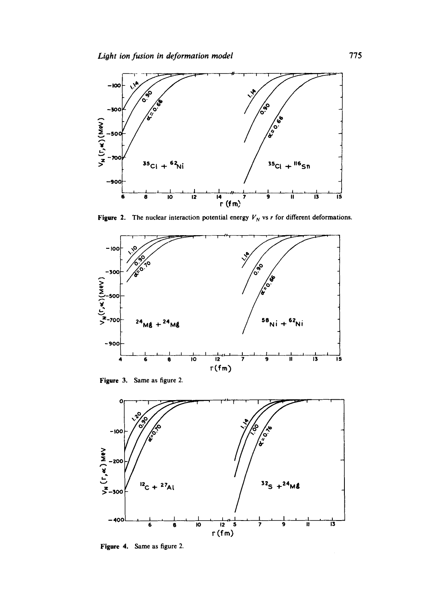

Figure 2. The nuclear interaction potential energy  $V_N$  vs r for different deformations.



Figure 3. Same as figure 2.



Figure 4. Same as figure 2.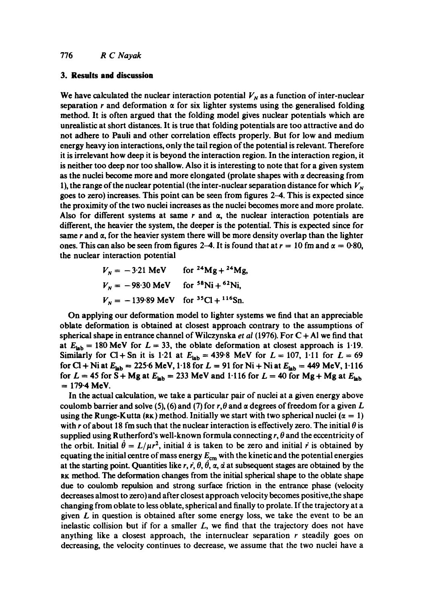## **3. Results and discussion**

We have calculated the nuclear interaction potential  $V_N$  as a function of inter-nuclear separation r and deformation  $\alpha$  for six lighter systems using the generalised folding method. It is often argued that the folding model gives nuclear potentials which are unrealistic at short distances. It is true that folding potentials are too attractive and do not adhere to Pauli and other correlation effects properly. But for low and medium energy heavy ion interactions, only the tail region of the potential is relevant. Therefore it is irrelevant how deep it is beyond the interaction region. In the interaction region, it is neither too deep nor too shallow. Also it is interesting to note that for a given system as the nuclei become more and more elongated (prolate shapes with  $\alpha$  decreasing from 1), the range of the nuclear potential (the inter-nuclear separation distance for which  $V_N$ goes to zero) increases. This point can be seen from figures 2-4. This is expected since the proximity of the two nuclei increases as the nuclei becomes more and more prolate. Also for different systems at same  $r$  and  $\alpha$ , the nuclear interaction potentials are different, the heavier the system, the deeper is the potential. This is expected since for same  $r$  and  $\alpha$ , for the heavier system there will be more density overlap than the lighter ones. This can also be seen from figures 2–4. It is found that at  $r = 10$  fm and  $\alpha = 0.80$ , the nuclear interaction potential

$$
V_N = -3.21 \text{ MeV} \qquad \text{for } {}^{24}\text{Mg} + {}^{24}\text{Mg},
$$
  

$$
V_N = -98.30 \text{ MeV} \qquad \text{for } {}^{58}\text{Ni} + {}^{62}\text{Ni},
$$
  

$$
V_N = -139.89 \text{ MeV} \qquad \text{for } {}^{35}\text{Cl} + {}^{116}\text{Sn}.
$$

On applying our deformation model to lighter systems we find that an appreciable oblate deformation is obtained at closest approach contrary to the assumptions of spherical shape in entrance channel of Wilczynska *et al* (1976). For C + A! we find that at  $E_{lab} = 180$  MeV for  $L = 33$ , the oblate deformation at closest approach is 1.19. Similarly for Cl + Sn it is 1.21 at  $E_{lab} = 439.8$  MeV for  $L = 107$ , 1.11 for  $L = 69$ for CI + Ni at  $E_{lab} = 225.6$  MeV, 1.18 for  $L = 91$  for Ni + Ni at  $E_{lab} = 449$  MeV, 1.116 for  $L = 45$  for S + Mg at  $E_{lab} = 233$  MeV and 1.116 for  $L = 40$  for Mg + Mg at  $E_{lab}$  $= 179.4$  MeV.

In the actual calculation, we take a particular pair of nuclei at a given energy above coulomb barrier and solve (5), (6) and (7) for  $r, \theta$  and  $\alpha$  degrees of freedom for a given L using the Runge-Kutta (RK) method. Initially we start with two spherical nuclei ( $\alpha = 1$ ) with r of about 18 fm such that the nuclear interaction is effectively zero. The initial  $\theta$  is supplied using Rutherford's well-known formula connecting  $r, \theta$  and the eccentricity of the orbit. Initial  $\dot{\theta} = L/\mu r^2$ , initial  $\dot{\alpha}$  is taken to be zero and initial r is obtained by equating the initial centre of mass energy  $E_{cm}$  with the kinetic and the potential energies at the starting point. Quantities like r, r,  $\theta$ ,  $\dot{\theta}$ ,  $\alpha$ ,  $\dot{\alpha}$  at subsequent stages are obtained by the RK method. The deformation changes from the initial spherical shape to the oblate shape due to coulomb repulsion and strong surface friction in the entrance phase (velocity decreases almost to zero) and after closest approach velocity becomes positive,the shape changing from oblate to less oblate, spherical and finally to prolate. If the trajectory at a given  $L$  in question is obtained after some energy loss, we take the event to be an inelastic collision but if for a smaller  $L$ , we find that the trajectory does not have anything like a closest approach, the internuclear separation  $r$  steadily goes on decreasing, the velocity continues to decrease, we assume that the two nuclei have a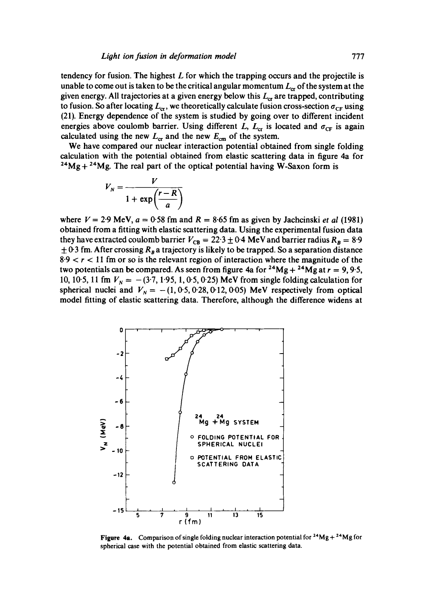tendency for fusion. The highest  $L$  for which the trapping occurs and the projectile is unable to come out is taken to be the critical angular momentum  $L_{cr}$  of the system at the given energy. All trajectories at a given energy below this  $L_{cr}$  are trapped, contributing to fusion. So after locating  $L_{cr}$ , we theoretically calculate fusion cross-section  $\sigma_{CF}$  using (21). Energy dependence of the system is studied by going over to different incident energies above coulomb barrier. Using different L,  $L_{cr}$  is located and  $\sigma_{cr}$  is again calculated using the new  $L_{cr}$  and the new  $E_{cm}$  of the system.

We have compared our nuclear interaction potential obtained from single folding calculation with the potential obtained from elastic scattering data in figure 4a for  $24Mg + 24Mg$ . The real part of the optical potential having W-Saxon form is

$$
V_N = \frac{V}{1 + \exp\left(\frac{r - R}{a}\right)}
$$

where  $V = 2.9$  MeV,  $a = 0.58$  fm and  $R = 8.65$  fm as given by Jachcinski *et al* (1981) obtained from a fitting with elastic scattering data. Using the experimental fusion data they have extracted coulomb barrier  $V_{CB} = 22.3 \pm 0.4$  MeV and barrier radius  $R_B = 8.9$  $\pm$  0.3 fm. After crossing  $R_B$  a trajectory is likely to be trapped. So a separation distance  $8.9 < r < 11$  fm or so is the relevant region of interaction where the magnitude of the two potentials can be compared. As seen from figure 4a for  $^{24}Mg + ^{24}Mg$  at  $r = 9, 9.5$ , 10, 10.5, 11 fm  $V_N = -(3.7, 1.95, 1, 0.5, 0.25)$  MeV from single folding calculation for spherical nuclei and  $V_N = -(1, 0.5, 0.28, 0.12, 0.05)$  MeV respectively from optical model fitting of elastic scattering data. Therefore, although the difference widens at



**Figure 4a.** Comparison of single folding nuclear interaction potential for  $24Mg + 24Mg$  for spherical case with the potential obtained from elastic scattering data.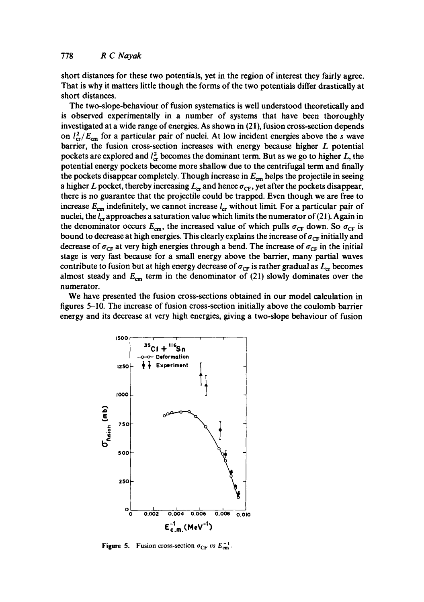short distances for these two potentials, yet in the region of interest they fairly agree. That is why it matters little though the forms of the two potentials differ drastically at short distances.

The two-slope-behaviour of fusion systematics is well understood theoretically and is observed experimentally in a number of systems that have been thoroughly investigated at a wide range of energies. As shown in (21), fusion cross-section depends on  $l_{cr}^2/E_{cm}$  for a particular pair of nuclei. At low incident energies above the s wave barrier, the fusion cross-section increases with energy because higher  $L$  potential pockets are explored and  $l_{cr}^2$  becomes the dominant term. But as we go to higher L, the potential energy pockets become more shallow due to the centrifugal term and finally the pockets disappear completely. Though increase in  $E_{cm}$  helps the projectile in seeing a higher L pocket, thereby increasing  $L_{cr}$  and hence  $\sigma_{CF}$ , yet after the pockets disappear, there is no guarantee that the projectile could be trapped. Even though we are free to increase  $E_{cm}$  indefinitely, we cannot increase  $I_{cr}$  without limit. For a particular pair of nuclei, the  $l_{cr}$  approaches a saturation value which limits the numerator of (21). Again in the denominator occurs  $E_{cm}$ , the increased value of which pulls  $\sigma_{CF}$  down. So  $\sigma_{CF}$  is bound to decrease at high energies. This clearly explains the increase of  $\sigma_{CF}$  initially and decrease of  $\sigma_{CF}$  at very high energies through a bend. The increase of  $\sigma_{CF}$  in the initial stage is very fast because for a small energy above the barrier, many partial waves contribute to fusion but at high energy decrease of  $\sigma_{CF}$  is rather gradual as  $L_{cr}$  becomes almost steady and  $E_{cm}$  term in the denominator of (21) slowly dominates over the numerator.

We have presented the fusion cross-sections obtained in our model calculation in figures 5-10. The increase of fusion cross-section initially above the coulomb barrier energy and its decrease at very high energies, giving a two-slope behaviour of fusion



**Figure 5.** Fusion cross-section  $\sigma_{CF}$  vs  $E_{cm}^{-1}$ .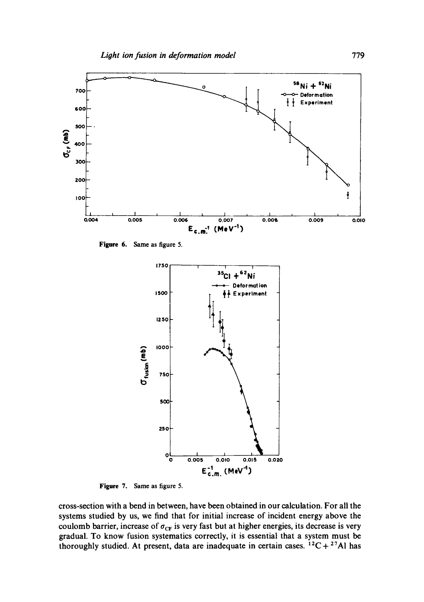

**Figure** 6. Same as figure 5.



**Figure** 7. Same as figure 5.

cross-section with a bend in between, have been obtained in our calculation. For all the systems studied by us, we find that for initial increase of incident energy above the coulomb barrier, increase of  $\sigma_{CF}$  is very fast but at higher energies, its decrease is very gradual. To know fusion systematics correctly, it is essential that a system must be thoroughly studied. At present, data are inadequate in certain cases.  ${}^{12}C + {}^{27}Al$  has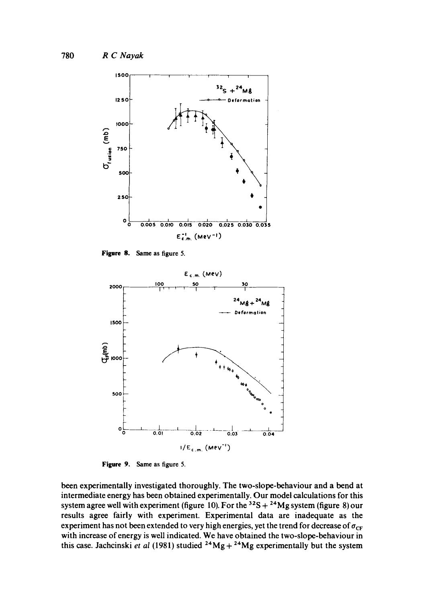

**Figure 8. Same as figure 5.** 



**Figure 9. Same as figure 5.** 

**been experimentally investigated thoroughly. The two-slope-behaviour and a bend at intermediate energy has been obtained experimentally. Our model calculations for this**  system agree well with experiment (figure 10). For the  $32S + 24Mg$  system (figure 8) our **results agree fairly with experiment. Experimental data are inadequate as the**  experiment has not been extended to very high energies, yet the trend for decrease of  $\sigma_{CF}$ **with increase of energy is well indicated. We have obtained the two-slope-behaviour in this case. Jachcinski** *et al* **(1981) studied 24Mg + 2\*Mg experimentally but the system**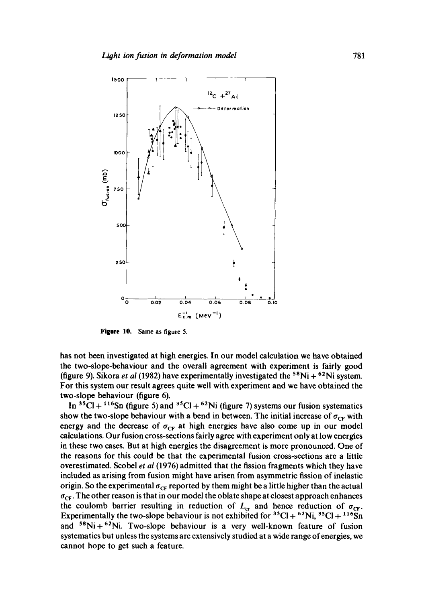

**Figare** 10. Same as figure S.

has not been investigated at high energies. In our model calculation we have obtained the two-slope-behaviour and the overall agreement with experiment is fairly good (figure 9). Sikora *et al* (1982) have experimentally investigated the <sup>58</sup>Ni + <sup>62</sup>Ni system. For this system our result agrees quite well with experiment and we have obtained the two-slope behaviour (figure 6).

In  ${}^{35}$ Cl +  ${}^{116}$ Sn (figure 5) and  ${}^{35}$ Cl +  ${}^{62}$ Ni (figure 7) systems our fusion systematics show the two-slope behaviour with a bend in between. The initial increase of  $\sigma_{CF}$  with energy and the decrease of  $\sigma_{CF}$  at high energies have also come up in our model calculations. Our fusion cross-sections fairly agree with experiment only at low energies in these two cases. But at high energies the disagreement is more pronounced. One of the reasons for this could be that the experimental fusion cross-sections are a little overestimated. Scobel *et a!* (1976) admitted that the fission fragments which they have included as arising from fusion might have arisen from asymmetric fission of inelastic origin. So the experimental  $\sigma_{CF}$  reported by them might be a little higher than the actual  $\sigma_{CF}$ . The other reason is that in our model the oblate shape at closest approach enhances the coulomb barrier resulting in reduction of  $L_{cr}$  and hence reduction of  $\sigma_{CF}$ . Experimentally the two-slope behaviour is not exhibited for  ${}^{35}Cl + {}^{62}Ni$ ,  ${}^{35}Cl + {}^{116}Sn$ and  $58Ni + 62Ni$ . Two-slope behaviour is a very well-known feature of fusion systematics but unless the systems are extensively studied at a wide range of energies, we cannot hope to get such a feature.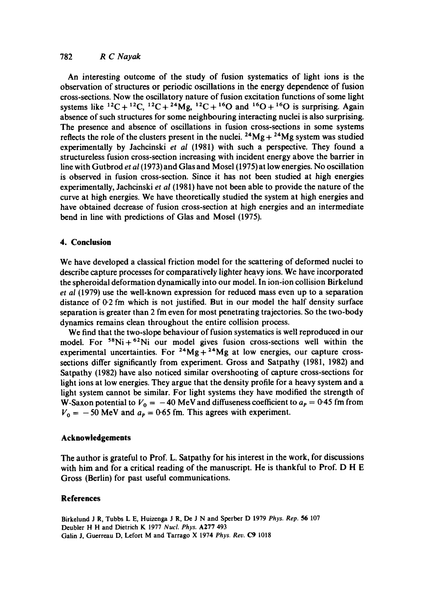An interesting outcome of the study of fusion systematics of light ions is the observation of structures or periodic oscillations in the energy dependence of fusion cross-sections. Now the oscillatory nature of fusion excitation functions of some light systems like  ${}^{12}C+{}^{12}C, {}^{12}C+{}^{24}Mg, {}^{12}C+{}^{16}O$  and  ${}^{16}O+{}^{16}O$  is surprising. Again absence of such structures for some neighbouring interacting nuclei is also surprising. The presence and absence of oscillations in fusion cross-sections in some systems reflects the role of the clusters present in the nuclei.  $^{24}Mg + ^{24}Mg$  system was studied experimentally by Jachcinski *et al (1981)* with such a perspective. They found a structureless fusion cross-section increasing with incident energy above the barrier in line with Gutbrod *et al* (1973) and Glas and Mosel (1975) at low energies. No oscillation is observed in fusion cross-section. Since it has not been studied at high energies experimentally, Jachcinski *et al* (1981) have not been able to provide the nature of the curve at high energies. We have theoretically studied the system at high energies and have obtained decrease of fusion cross-section at high energies and an intermediate bend in line with predictions of Glas and Mosel (1975).

## **4. Conclusion**

We have developed a classical friction model for the scattering of deformed nuclei to describe capture processes for comparatively lighter heavy ions. We have incorporated the spheroidal deformation dynamically into our model. In ion-ion collision Birkelund *et ai* (1979) use the well-known expression for reduced mass even up to a separation distance of 0.2 fm which is not justified. But in our model the half density surface separation is greater than 2 fm even for most penetrating trajectories. So the two-body dynamics remains clean throughout the entire collision process.

We find that the two-slope behaviour of fusion systematics is well reproduced in our model. For  $58Ni + 62Ni$  our model gives fusion cross-sections well within the experimental uncertainties. For  $^{24}Mg + ^{24}Mg$  at low energies, our capture crosssections differ significantly from experiment. Gross and Satpathy (1981, 1982) and Satpathy (1982) have also noticed similar overshooting of capture cross-sections for light ions at low energies. They argue that the density profile for a heavy system and a light system cannot be similar. For light systems they have modified the strength of W-Saxon potential to  $V_0 = -40$  MeV and diffuseness coefficient to  $a_p = 0.45$  fm from  $V_0 = -50$  MeV and  $a_p = 0.65$  fm. This agrees with experiment.

## **Acknowledgements**

The author is grateful to Prof. L. Satpathy for his interest in the work, for discussions with him and for a critical reading of the manuscript. He is thankful to Prof. D H E Gross (Berlin) for past useful communications.

## **References**

Birkelund J R, Tubbs L E, Huizenga J R, De J N and Sperber D 1979 *Phys. Rep.* 56 107 Deubler H H and Dietrich K 1977 *Nucl. Phys.* A277 493 Galin J, Guerreau D, Lefort M and Tarrago X 1974 Phys. Rev. C9 1018